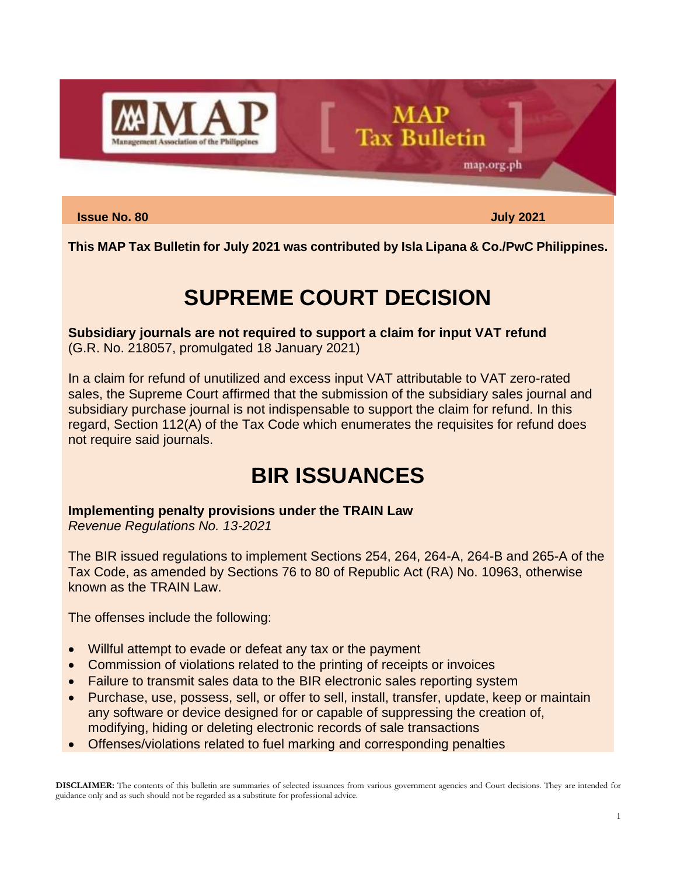

#### **Issue No. 80 July 2021**

map.org.ph

**This MAP Tax Bulletin for July 2021 was contributed by Isla Lipana & Co./PwC Philippines.**

**MAP** 

**Tax Bulletin** 

# **SUPREME COURT DECISION**

**Subsidiary journals are not required to support a claim for input VAT refund** (G.R. No. 218057, promulgated 18 January 2021)

In a claim for refund of unutilized and excess input VAT attributable to VAT zero-rated sales, the Supreme Court affirmed that the submission of the subsidiary sales journal and subsidiary purchase journal is not indispensable to support the claim for refund. In this regard, Section 112(A) of the Tax Code which enumerates the requisites for refund does not require said journals.

## **BIR ISSUANCES**

**Implementing penalty provisions under the TRAIN Law**

*Revenue Regulations No. 13-2021*

The BIR issued regulations to implement Sections 254, 264, 264-A, 264-B and 265-A of the Tax Code, as amended by Sections 76 to 80 of Republic Act (RA) No. 10963, otherwise known as the TRAIN Law.

The offenses include the following:

- Willful attempt to evade or defeat any tax or the payment
- Commission of violations related to the printing of receipts or invoices
- Failure to transmit sales data to the BIR electronic sales reporting system
- Purchase, use, possess, sell, or offer to sell, install, transfer, update, keep or maintain any software or device designed for or capable of suppressing the creation of, modifying, hiding or deleting electronic records of sale transactions
- Offenses/violations related to fuel marking and corresponding penalties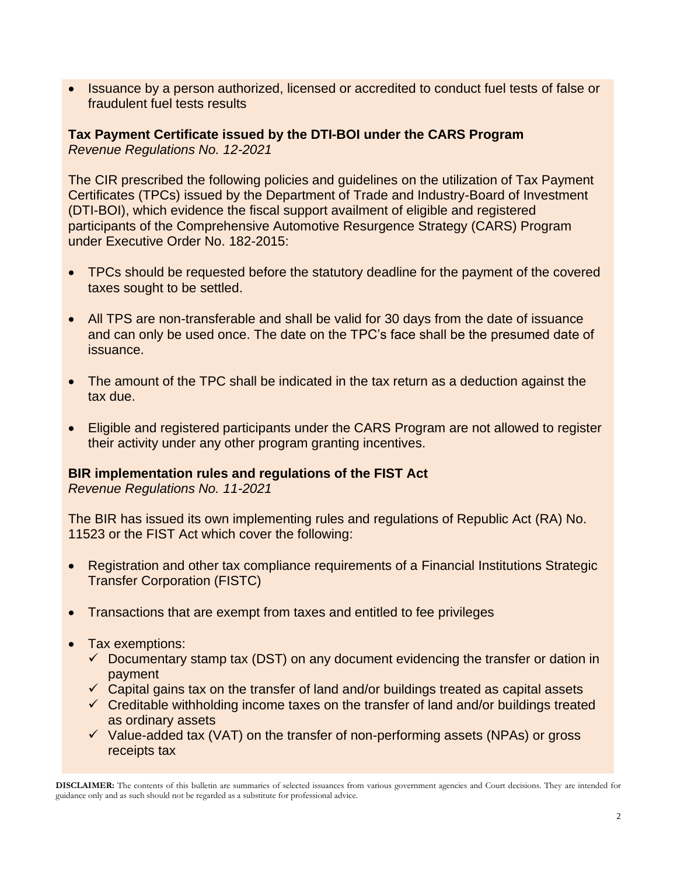• Issuance by a person authorized, licensed or accredited to conduct fuel tests of false or fraudulent fuel tests results

**Tax Payment Certificate issued by the DTI-BOI under the CARS Program** *Revenue Regulations No. 12-2021*

The CIR prescribed the following policies and guidelines on the utilization of Tax Payment Certificates (TPCs) issued by the Department of Trade and Industry-Board of Investment (DTI-BOI), which evidence the fiscal support availment of eligible and registered participants of the Comprehensive Automotive Resurgence Strategy (CARS) Program under Executive Order No. 182-2015:

- TPCs should be requested before the statutory deadline for the payment of the covered taxes sought to be settled.
- All TPS are non-transferable and shall be valid for 30 days from the date of issuance and can only be used once. The date on the TPC's face shall be the presumed date of issuance.
- The amount of the TPC shall be indicated in the tax return as a deduction against the tax due.
- Eligible and registered participants under the CARS Program are not allowed to register their activity under any other program granting incentives.

#### **BIR implementation rules and regulations of the FIST Act**

*Revenue Regulations No. 11-2021*

The BIR has issued its own implementing rules and regulations of Republic Act (RA) No. 11523 or the FIST Act which cover the following:

- Registration and other tax compliance requirements of a Financial Institutions Strategic Transfer Corporation (FISTC)
- Transactions that are exempt from taxes and entitled to fee privileges
- Tax exemptions:
	- $\checkmark$  Documentary stamp tax (DST) on any document evidencing the transfer or dation in payment
	- $\checkmark$  Capital gains tax on the transfer of land and/or buildings treated as capital assets
	- $\checkmark$  Creditable withholding income taxes on the transfer of land and/or buildings treated as ordinary assets
	- $\checkmark$  Value-added tax (VAT) on the transfer of non-performing assets (NPAs) or gross receipts tax

**DISCLAIMER:** The contents of this bulletin are summaries of selected issuances from various government agencies and Court decisions. They are intended for guidance only and as such should not be regarded as a substitute for professional advice.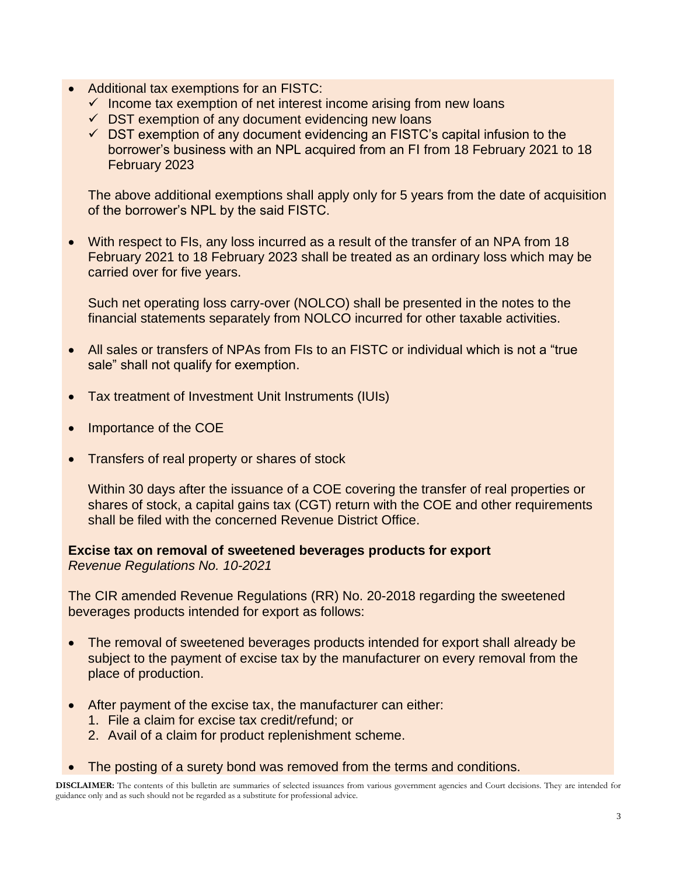- Additional tax exemptions for an FISTC:
	- $\checkmark$  Income tax exemption of net interest income arising from new loans
	- $\checkmark$  DST exemption of any document evidencing new loans
	- $\checkmark$  DST exemption of any document evidencing an FISTC's capital infusion to the borrower's business with an NPL acquired from an FI from 18 February 2021 to 18 February 2023

The above additional exemptions shall apply only for 5 years from the date of acquisition of the borrower's NPL by the said FISTC.

• With respect to FIs, any loss incurred as a result of the transfer of an NPA from 18 February 2021 to 18 February 2023 shall be treated as an ordinary loss which may be carried over for five years.

Such net operating loss carry-over (NOLCO) shall be presented in the notes to the financial statements separately from NOLCO incurred for other taxable activities.

- All sales or transfers of NPAs from FIs to an FISTC or individual which is not a "true sale" shall not qualify for exemption.
- Tax treatment of Investment Unit Instruments (IUIs)
- Importance of the COE
- Transfers of real property or shares of stock

Within 30 days after the issuance of a COE covering the transfer of real properties or shares of stock, a capital gains tax (CGT) return with the COE and other requirements shall be filed with the concerned Revenue District Office.

**Excise tax on removal of sweetened beverages products for export** *Revenue Regulations No. 10-2021*

The CIR amended Revenue Regulations (RR) No. 20-2018 regarding the sweetened beverages products intended for export as follows:

- The removal of sweetened beverages products intended for export shall already be subject to the payment of excise tax by the manufacturer on every removal from the place of production.
- After payment of the excise tax, the manufacturer can either:
	- 1. File a claim for excise tax credit/refund; or
	- 2. Avail of a claim for product replenishment scheme.
- The posting of a surety bond was removed from the terms and conditions.

**DISCLAIMER:** The contents of this bulletin are summaries of selected issuances from various government agencies and Court decisions. They are intended for guidance only and as such should not be regarded as a substitute for professional advice.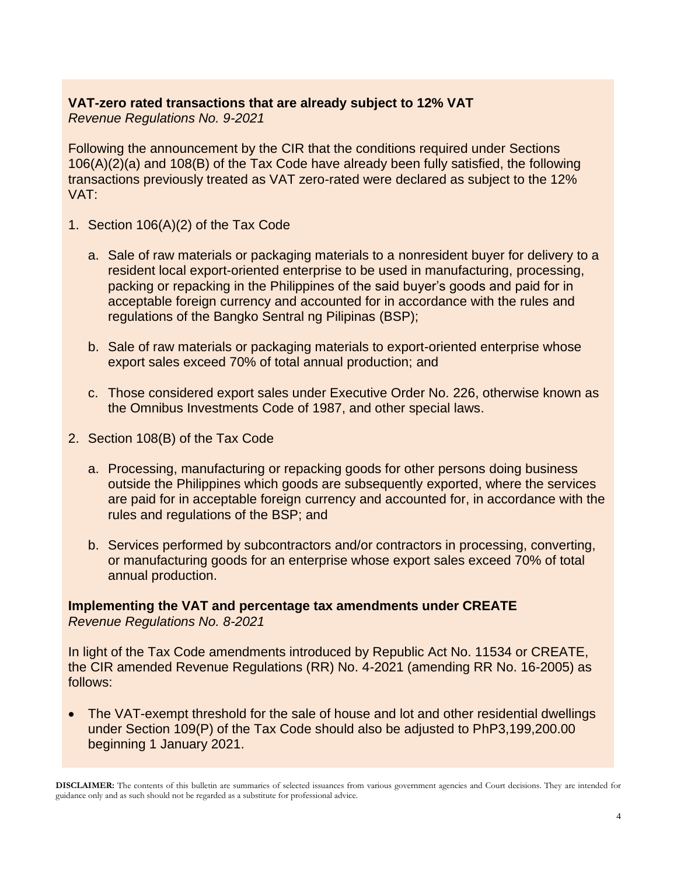### **VAT-zero rated transactions that are already subject to 12% VAT** *Revenue Regulations No. 9-2021*

Following the announcement by the CIR that the conditions required under Sections 106(A)(2)(a) and 108(B) of the Tax Code have already been fully satisfied, the following transactions previously treated as VAT zero-rated were declared as subject to the 12% VAT:

- 1. Section 106(A)(2) of the Tax Code
	- a. Sale of raw materials or packaging materials to a nonresident buyer for delivery to a resident local export-oriented enterprise to be used in manufacturing, processing, packing or repacking in the Philippines of the said buyer's goods and paid for in acceptable foreign currency and accounted for in accordance with the rules and regulations of the Bangko Sentral ng Pilipinas (BSP);
	- b. Sale of raw materials or packaging materials to export-oriented enterprise whose export sales exceed 70% of total annual production; and
	- c. Those considered export sales under Executive Order No. 226, otherwise known as the Omnibus Investments Code of 1987, and other special laws.
- 2. Section 108(B) of the Tax Code
	- a. Processing, manufacturing or repacking goods for other persons doing business outside the Philippines which goods are subsequently exported, where the services are paid for in acceptable foreign currency and accounted for, in accordance with the rules and regulations of the BSP; and
	- b. Services performed by subcontractors and/or contractors in processing, converting, or manufacturing goods for an enterprise whose export sales exceed 70% of total annual production.

**Implementing the VAT and percentage tax amendments under CREATE** *Revenue Regulations No. 8-2021*

In light of the Tax Code amendments introduced by Republic Act No. 11534 or CREATE, the CIR amended Revenue Regulations (RR) No. 4-2021 (amending RR No. 16-2005) as follows:

• The VAT-exempt threshold for the sale of house and lot and other residential dwellings under Section 109(P) of the Tax Code should also be adjusted to PhP3,199,200.00 beginning 1 January 2021.

**DISCLAIMER:** The contents of this bulletin are summaries of selected issuances from various government agencies and Court decisions. They are intended for guidance only and as such should not be regarded as a substitute for professional advice.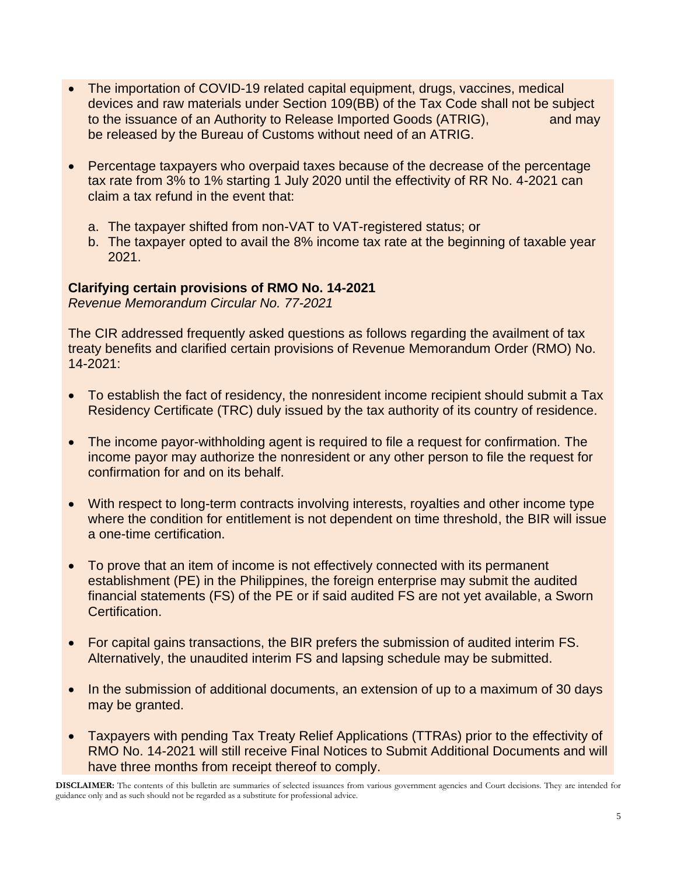- The importation of COVID-19 related capital equipment, drugs, vaccines, medical devices and raw materials under Section 109(BB) of the Tax Code shall not be subject to the issuance of an Authority to Release Imported Goods (ATRIG), and may be released by the Bureau of Customs without need of an ATRIG.
- Percentage taxpayers who overpaid taxes because of the decrease of the percentage tax rate from 3% to 1% starting 1 July 2020 until the effectivity of RR No. 4-2021 can claim a tax refund in the event that:
	- a. The taxpayer shifted from non-VAT to VAT-registered status; or
	- b. The taxpayer opted to avail the 8% income tax rate at the beginning of taxable year 2021.

### **Clarifying certain provisions of RMO No. 14-2021**

*Revenue Memorandum Circular No. 77-2021*

The CIR addressed frequently asked questions as follows regarding the availment of tax treaty benefits and clarified certain provisions of Revenue Memorandum Order (RMO) No. 14-2021:

- To establish the fact of residency, the nonresident income recipient should submit a Tax Residency Certificate (TRC) duly issued by the tax authority of its country of residence.
- The income payor-withholding agent is required to file a request for confirmation. The income payor may authorize the nonresident or any other person to file the request for confirmation for and on its behalf.
- With respect to long-term contracts involving interests, royalties and other income type where the condition for entitlement is not dependent on time threshold, the BIR will issue a one-time certification.
- To prove that an item of income is not effectively connected with its permanent establishment (PE) in the Philippines, the foreign enterprise may submit the audited financial statements (FS) of the PE or if said audited FS are not yet available, a Sworn Certification.
- For capital gains transactions, the BIR prefers the submission of audited interim FS. Alternatively, the unaudited interim FS and lapsing schedule may be submitted.
- In the submission of additional documents, an extension of up to a maximum of 30 days may be granted.
- Taxpayers with pending Tax Treaty Relief Applications (TTRAs) prior to the effectivity of RMO No. 14-2021 will still receive Final Notices to Submit Additional Documents and will have three months from receipt thereof to comply.

**DISCLAIMER:** The contents of this bulletin are summaries of selected issuances from various government agencies and Court decisions. They are intended for guidance only and as such should not be regarded as a substitute for professional advice.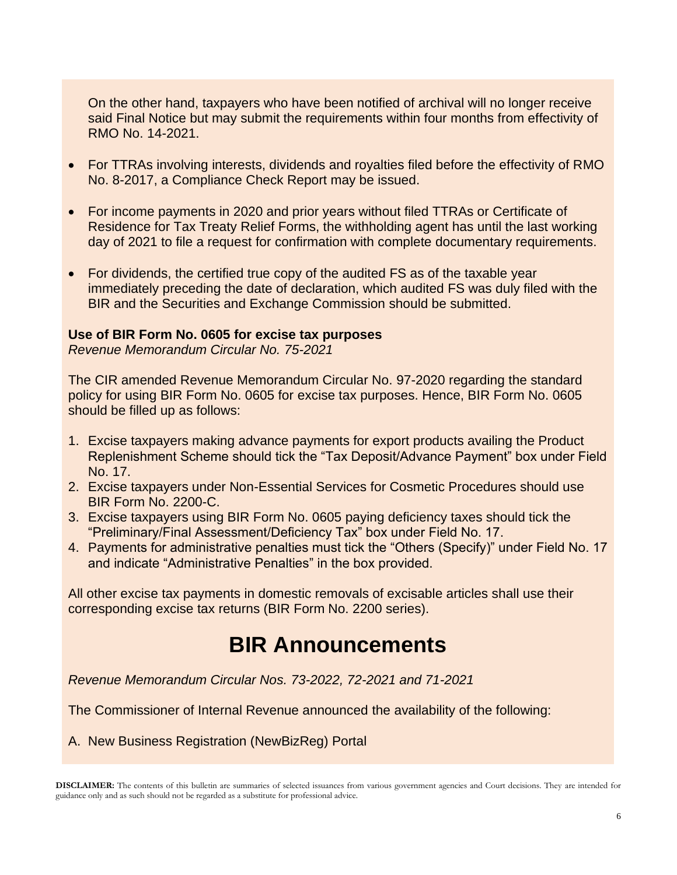On the other hand, taxpayers who have been notified of archival will no longer receive said Final Notice but may submit the requirements within four months from effectivity of RMO No. 14-2021.

- For TTRAs involving interests, dividends and royalties filed before the effectivity of RMO No. 8-2017, a Compliance Check Report may be issued.
- For income payments in 2020 and prior years without filed TTRAs or Certificate of Residence for Tax Treaty Relief Forms, the withholding agent has until the last working day of 2021 to file a request for confirmation with complete documentary requirements.
- For dividends, the certified true copy of the audited FS as of the taxable year immediately preceding the date of declaration, which audited FS was duly filed with the BIR and the Securities and Exchange Commission should be submitted.

#### **Use of BIR Form No. 0605 for excise tax purposes**

*Revenue Memorandum Circular No. 75-2021*

The CIR amended Revenue Memorandum Circular No. 97-2020 regarding the standard policy for using BIR Form No. 0605 for excise tax purposes. Hence, BIR Form No. 0605 should be filled up as follows:

- 1. Excise taxpayers making advance payments for export products availing the Product Replenishment Scheme should tick the "Tax Deposit/Advance Payment" box under Field No. 17.
- 2. Excise taxpayers under Non-Essential Services for Cosmetic Procedures should use BIR Form No. 2200-C.
- 3. Excise taxpayers using BIR Form No. 0605 paying deficiency taxes should tick the "Preliminary/Final Assessment/Deficiency Tax" box under Field No. 17.
- 4. Payments for administrative penalties must tick the "Others (Specify)" under Field No. 17 and indicate "Administrative Penalties" in the box provided.

All other excise tax payments in domestic removals of excisable articles shall use their corresponding excise tax returns (BIR Form No. 2200 series).

## **BIR Announcements**

*Revenue Memorandum Circular Nos. 73-2022, 72-2021 and 71-2021*

The Commissioner of Internal Revenue announced the availability of the following:

A. New Business Registration (NewBizReg) Portal